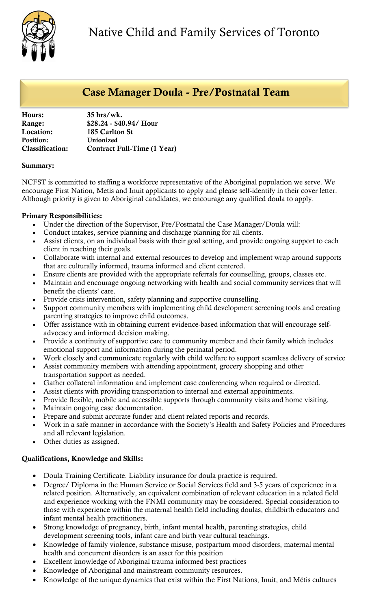

# Case Manager Doula - Pre/Postnatal Team

| Hours:                 | $35$ hrs/wk.                       |
|------------------------|------------------------------------|
| Range:                 | \$28.24 - \$40.94/ Hour            |
| Location:              | 185 Carlton St                     |
| <b>Position:</b>       | Unionized                          |
| <b>Classification:</b> | <b>Contract Full-Time (1 Year)</b> |
|                        |                                    |

### Summary:

NCFST is committed to staffing a workforce representative of the Aboriginal population we serve. We encourage First Nation, Metis and Inuit applicants to apply and please self-identify in their cover letter. Although priority is given to Aboriginal candidates, we encourage any qualified doula to apply.

## Primary Responsibilities:

- Under the direction of the Supervisor, Pre/Postnatal the Case Manager/Doula will:
- Conduct intakes, service planning and discharge planning for all clients.
- Assist clients, on an individual basis with their goal setting, and provide ongoing support to each client in reaching their goals.
- Collaborate with internal and external resources to develop and implement wrap around supports that are culturally informed, trauma informed and client centered.
- Ensure clients are provided with the appropriate referrals for counselling, groups, classes etc.
- Maintain and encourage ongoing networking with health and social community services that will benefit the clients' care.
- Provide crisis intervention, safety planning and supportive counselling.
- Support community members with implementing child development screening tools and creating parenting strategies to improve child outcomes.
- Offer assistance with in obtaining current evidence-based information that will encourage selfadvocacy and informed decision making.
- Provide a continuity of supportive care to community member and their family which includes emotional support and information during the perinatal period.
- Work closely and communicate regularly with child welfare to support seamless delivery of service
- Assist community members with attending appointment, grocery shopping and other transportation support as needed.
- Gather collateral information and implement case conferencing when required or directed.
- Assist clients with providing transportation to internal and external appointments.
- Provide flexible, mobile and accessible supports through community visits and home visiting.
- Maintain ongoing case documentation.
- Prepare and submit accurate funder and client related reports and records.
- Work in a safe manner in accordance with the Society's Health and Safety Policies and Procedures and all relevant legislation.
- Other duties as assigned.

## Qualifications, Knowledge and Skills:

- Doula Training Certificate. Liability insurance for doula practice is required.
- Degree/ Diploma in the Human Service or Social Services field and 3-5 years of experience in a related position. Alternatively, an equivalent combination of relevant education in a related field and experience working with the FNMI community may be considered. Special consideration to those with experience within the maternal health field including doulas, childbirth educators and infant mental health practitioners.
- Strong knowledge of pregnancy, birth, infant mental health, parenting strategies, child development screening tools, infant care and birth year cultural teachings.
- Knowledge of family violence, substance misuse, postpartum mood disorders, maternal mental health and concurrent disorders is an asset for this position
- Excellent knowledge of Aboriginal trauma informed best practices
- Knowledge of Aboriginal and mainstream community resources.
- Knowledge of the unique dynamics that exist within the First Nations, Inuit, and Métis cultures